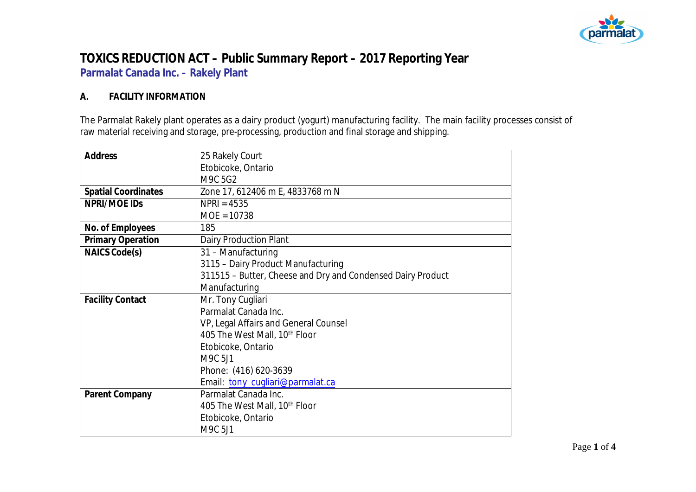

# **TOXICS REDUCTION ACT – Public Summary Report – 2017 Reporting Year Parmalat Canada Inc. – Rakely Plant**

### **A. FACILITY INFORMATION**

The Parmalat Rakely plant operates as a dairy product (yogurt) manufacturing facility. The main facility processes consist of raw material receiving and storage, pre-processing, production and final storage and shipping.

| Address                    | 25 Rakely Court                                             |  |  |
|----------------------------|-------------------------------------------------------------|--|--|
|                            | Etobicoke, Ontario                                          |  |  |
|                            | M9C 5G2                                                     |  |  |
| <b>Spatial Coordinates</b> | Zone 17, 612406 m E, 4833768 m N                            |  |  |
| NPRI/MOE IDS               | $NPRI = 4535$                                               |  |  |
|                            | $MOE = 10738$                                               |  |  |
| No. of Employees           | 185                                                         |  |  |
| <b>Primary Operation</b>   | Dairy Production Plant                                      |  |  |
| <b>NAICS Code(s)</b>       | 31 - Manufacturing                                          |  |  |
|                            | 3115 - Dairy Product Manufacturing                          |  |  |
|                            | 311515 - Butter, Cheese and Dry and Condensed Dairy Product |  |  |
|                            | Manufacturing                                               |  |  |
| <b>Facility Contact</b>    | Mr. Tony Cugliari                                           |  |  |
|                            | Parmalat Canada Inc.                                        |  |  |
|                            | VP, Legal Affairs and General Counsel                       |  |  |
|                            | 405 The West Mall, 10th Floor                               |  |  |
|                            | Etobicoke, Ontario                                          |  |  |
|                            | M9C 5J1                                                     |  |  |
|                            | Phone: (416) 620-3639                                       |  |  |
|                            | Email: tony_cugliari@parmalat.ca                            |  |  |
| Parent Company             | Parmalat Canada Inc.                                        |  |  |
|                            | 405 The West Mall, 10 <sup>th</sup> Floor                   |  |  |
|                            | Etobicoke, Ontario                                          |  |  |
|                            | M9C 5J1                                                     |  |  |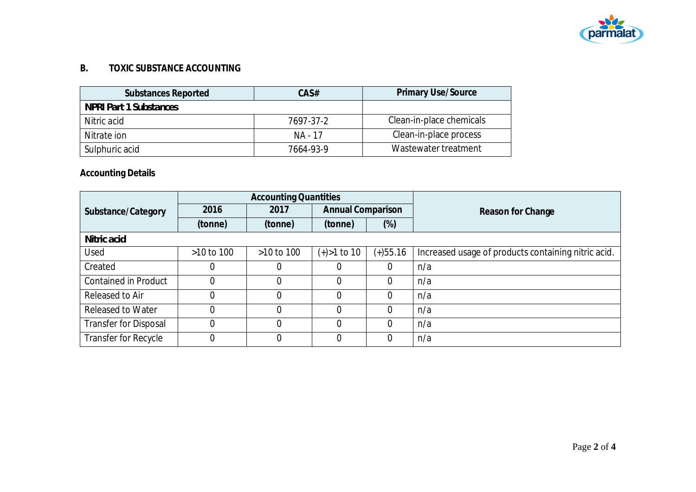

## **B. TOXIC SUBSTANCE ACCOUNTING**

| Substances Reported    | CAS#      | <b>Primary Use/Source</b> |
|------------------------|-----------|---------------------------|
| NPRI Part 1 Substances |           |                           |
| Nitric acid            | 7697-37-2 | Clean-in-place chemicals  |
| Nitrate ion            | NA - 17   | Clean-in-place process    |
| Sulphuric acid         | 7664-93-9 | Wastewater treatment      |

**Accounting Details**

|                              |                | <b>Accounting Quantities</b> |                          |                |                                                     |
|------------------------------|----------------|------------------------------|--------------------------|----------------|-----------------------------------------------------|
| Substance/Category           | 2016           | 2017                         | <b>Annual Comparison</b> |                | Reason for Change                                   |
|                              | (tonne)        | (tonne)                      | (tonne)                  | $(\%)$         |                                                     |
| Nitric acid                  |                |                              |                          |                |                                                     |
| Used                         | $>10$ to 100   | >10 to 100                   | $(+) > 1$ to 10          | $(+)55.16$     | Increased usage of products containing nitric acid. |
| Created                      | 0              |                              | 0                        | 0              | n/a                                                 |
| <b>Contained in Product</b>  | $\overline{0}$ | 0                            | $\Omega$                 | $\overline{0}$ | n/a                                                 |
| Released to Air              | 0              |                              | $\Omega$                 | 0              | n/a                                                 |
| <b>Released to Water</b>     | $\overline{0}$ |                              | $\Omega$                 | 0              | n/a                                                 |
| <b>Transfer for Disposal</b> | $\Omega$       |                              | $\Omega$                 | $\Omega$       | n/a                                                 |
| Transfer for Recycle         | 0              |                              | $\Omega$                 | $\overline{0}$ | n/a                                                 |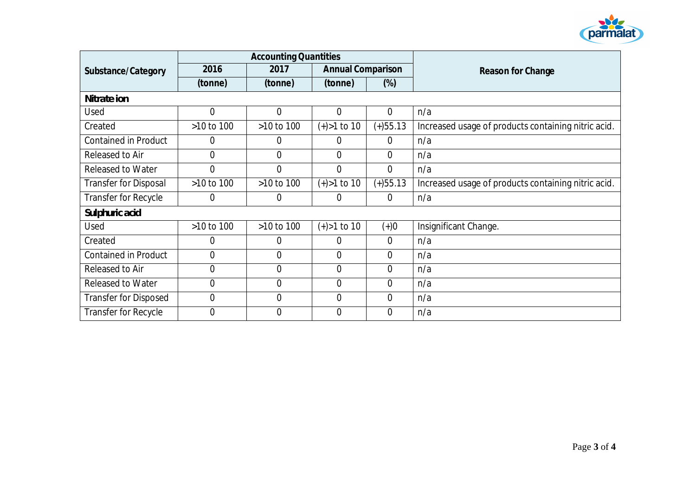

|                              | <b>Accounting Quantities</b> |                |                          |                |                                                     |
|------------------------------|------------------------------|----------------|--------------------------|----------------|-----------------------------------------------------|
| Substance/Category           | 2016                         | 2017           | <b>Annual Comparison</b> |                | Reason for Change                                   |
|                              | (tonne)                      | (tonne)        | (tonne)                  | $(\%)$         |                                                     |
| Nitrate ion                  |                              |                |                          |                |                                                     |
| Used                         | $\overline{0}$               | $\overline{0}$ | $\overline{0}$           | $\overline{0}$ | n/a                                                 |
| Created                      | >10 to 100                   | >10 to 100     | $(+) > 1$ to 10          | $(+)$ 55.13    | Increased usage of products containing nitric acid. |
| <b>Contained in Product</b>  | 0                            | 0              | 0                        | $\overline{0}$ | n/a                                                 |
| Released to Air              | $\overline{0}$               | $\overline{0}$ | $\overline{0}$           | $\overline{0}$ | n/a                                                 |
| <b>Released to Water</b>     | $\overline{0}$               | $\overline{0}$ | $\overline{0}$           | $\overline{0}$ | n/a                                                 |
| <b>Transfer for Disposal</b> | >10 to 100                   | >10 to 100     | $(+) > 1$ to 10          | $(+)$ 55.13    | Increased usage of products containing nitric acid. |
| Transfer for Recycle         | 0                            | 0              | 0                        | $\overline{0}$ | n/a                                                 |
| Sulphuric acid               |                              |                |                          |                |                                                     |
| Used                         | >10 to 100                   | >10 to 100     | $(+) > 1$ to 10          | $(+)0$         | Insignificant Change.                               |
| Created                      | $\overline{0}$               | 0              | 0                        | $\overline{0}$ | n/a                                                 |
| <b>Contained in Product</b>  | $\overline{0}$               | $\overline{0}$ | $\overline{0}$           | $\overline{0}$ | n/a                                                 |
| Released to Air              | $\mathbf 0$                  | 0              | 0                        | $\overline{0}$ | n/a                                                 |
| <b>Released to Water</b>     | $\mathbf 0$                  | 0              | $\overline{0}$           | $\overline{0}$ | n/a                                                 |
| <b>Transfer for Disposed</b> | $\mathbf 0$                  | 0              | $\overline{0}$           | $\overline{0}$ | n/a                                                 |
| Transfer for Recycle         | $\overline{0}$               | $\Omega$       | $\overline{0}$           | $\Omega$       | n/a                                                 |